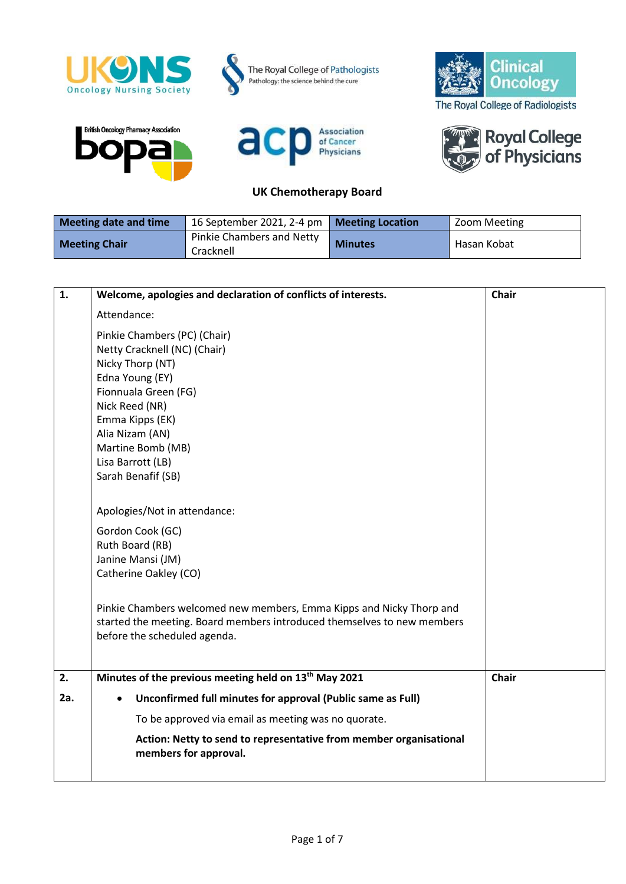

## **UK Chemotherapy Board**

| Meeting date and time | 16 September 2021, 2-4 pm   Meeting Location |                | Zoom Meeting |
|-----------------------|----------------------------------------------|----------------|--------------|
| <b>Meeting Chair</b>  | Pinkie Chambers and Netty<br>Cracknell       | <b>Minutes</b> | Hasan Kobat  |

| 1.  | Welcome, apologies and declaration of conflicts of interests.                               | <b>Chair</b> |
|-----|---------------------------------------------------------------------------------------------|--------------|
|     | Attendance:                                                                                 |              |
|     | Pinkie Chambers (PC) (Chair)                                                                |              |
|     | Netty Cracknell (NC) (Chair)                                                                |              |
|     | Nicky Thorp (NT)                                                                            |              |
|     | Edna Young (EY)                                                                             |              |
|     | Fionnuala Green (FG)                                                                        |              |
|     | Nick Reed (NR)                                                                              |              |
|     | Emma Kipps (EK)                                                                             |              |
|     | Alia Nizam (AN)                                                                             |              |
|     | Martine Bomb (MB)                                                                           |              |
|     | Lisa Barrott (LB)                                                                           |              |
|     | Sarah Benafif (SB)                                                                          |              |
|     | Apologies/Not in attendance:                                                                |              |
|     | Gordon Cook (GC)                                                                            |              |
|     | Ruth Board (RB)                                                                             |              |
|     | Janine Mansi (JM)                                                                           |              |
|     | Catherine Oakley (CO)                                                                       |              |
|     | Pinkie Chambers welcomed new members, Emma Kipps and Nicky Thorp and                        |              |
|     | started the meeting. Board members introduced themselves to new members                     |              |
|     | before the scheduled agenda.                                                                |              |
|     |                                                                                             |              |
| 2.  | Minutes of the previous meeting held on 13 <sup>th</sup> May 2021                           | <b>Chair</b> |
| 2a. | Unconfirmed full minutes for approval (Public same as Full)                                 |              |
|     | To be approved via email as meeting was no quorate.                                         |              |
|     | Action: Netty to send to representative from member organisational<br>members for approval. |              |
|     |                                                                                             |              |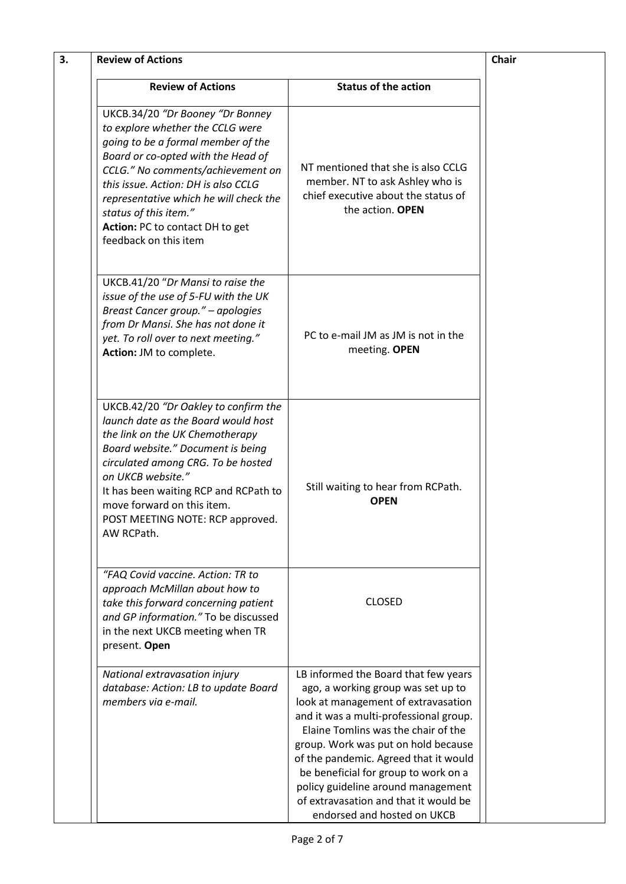| 3. | <b>Review of Actions</b>                                                                                                                                                                                                                                                                                                                                    |                                                                                                                                                                                                                                                                                                                                                                                                                                          | <b>Chair</b> |
|----|-------------------------------------------------------------------------------------------------------------------------------------------------------------------------------------------------------------------------------------------------------------------------------------------------------------------------------------------------------------|------------------------------------------------------------------------------------------------------------------------------------------------------------------------------------------------------------------------------------------------------------------------------------------------------------------------------------------------------------------------------------------------------------------------------------------|--------------|
|    | <b>Review of Actions</b>                                                                                                                                                                                                                                                                                                                                    | <b>Status of the action</b>                                                                                                                                                                                                                                                                                                                                                                                                              |              |
|    | UKCB.34/20 "Dr Booney "Dr Bonney<br>to explore whether the CCLG were<br>going to be a formal member of the<br>Board or co-opted with the Head of<br>CCLG." No comments/achievement on<br>this issue. Action: DH is also CCLG<br>representative which he will check the<br>status of this item."<br>Action: PC to contact DH to get<br>feedback on this item | NT mentioned that she is also CCLG<br>member. NT to ask Ashley who is<br>chief executive about the status of<br>the action. OPEN                                                                                                                                                                                                                                                                                                         |              |
|    | UKCB.41/20 "Dr Mansi to raise the<br>issue of the use of 5-FU with the UK<br>Breast Cancer group." - apologies<br>from Dr Mansi. She has not done it<br>yet. To roll over to next meeting."<br>Action: JM to complete.                                                                                                                                      | PC to e-mail JM as JM is not in the<br>meeting. OPEN                                                                                                                                                                                                                                                                                                                                                                                     |              |
|    | UKCB.42/20 "Dr Oakley to confirm the<br>launch date as the Board would host<br>the link on the UK Chemotherapy<br>Board website." Document is being<br>circulated among CRG. To be hosted<br>on UKCB website."<br>It has been waiting RCP and RCPath to<br>move forward on this item.<br>POST MEETING NOTE: RCP approved.<br>AW RCPath.                     | Still waiting to hear from RCPath.<br><b>OPEN</b>                                                                                                                                                                                                                                                                                                                                                                                        |              |
|    | "FAQ Covid vaccine. Action: TR to<br>approach McMillan about how to<br>take this forward concerning patient<br>and GP information." To be discussed<br>in the next UKCB meeting when TR<br>present. Open                                                                                                                                                    | <b>CLOSED</b>                                                                                                                                                                                                                                                                                                                                                                                                                            |              |
|    | National extravasation injury<br>database: Action: LB to update Board<br>members via e-mail.                                                                                                                                                                                                                                                                | LB informed the Board that few years<br>ago, a working group was set up to<br>look at management of extravasation<br>and it was a multi-professional group.<br>Elaine Tomlins was the chair of the<br>group. Work was put on hold because<br>of the pandemic. Agreed that it would<br>be beneficial for group to work on a<br>policy guideline around management<br>of extravasation and that it would be<br>endorsed and hosted on UKCB |              |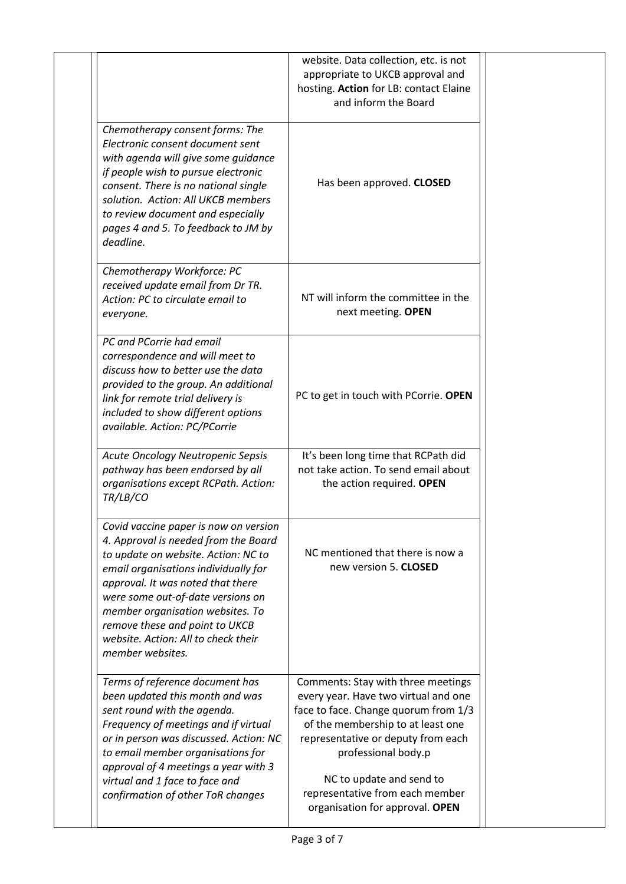|                                                                                                                                                                                                                                                                                                                                                                         | website. Data collection, etc. is not<br>appropriate to UKCB approval and<br>hosting. Action for LB: contact Elaine<br>and inform the Board                                                                                                                                                                            |  |
|-------------------------------------------------------------------------------------------------------------------------------------------------------------------------------------------------------------------------------------------------------------------------------------------------------------------------------------------------------------------------|------------------------------------------------------------------------------------------------------------------------------------------------------------------------------------------------------------------------------------------------------------------------------------------------------------------------|--|
| Chemotherapy consent forms: The<br>Electronic consent document sent<br>with agenda will give some guidance<br>if people wish to pursue electronic<br>consent. There is no national single<br>solution. Action: All UKCB members<br>to review document and especially<br>pages 4 and 5. To feedback to JM by<br>deadline.                                                | Has been approved. CLOSED                                                                                                                                                                                                                                                                                              |  |
| Chemotherapy Workforce: PC<br>received update email from Dr TR.<br>Action: PC to circulate email to<br>everyone.                                                                                                                                                                                                                                                        | NT will inform the committee in the<br>next meeting. OPEN                                                                                                                                                                                                                                                              |  |
| PC and PCorrie had email<br>correspondence and will meet to<br>discuss how to better use the data<br>provided to the group. An additional<br>link for remote trial delivery is<br>included to show different options<br>available. Action: PC/PCorrie                                                                                                                   | PC to get in touch with PCorrie. OPEN                                                                                                                                                                                                                                                                                  |  |
| Acute Oncology Neutropenic Sepsis<br>pathway has been endorsed by all<br>organisations except RCPath. Action:<br>TR/LB/CO                                                                                                                                                                                                                                               | It's been long time that RCPath did<br>not take action. To send email about<br>the action required. OPEN                                                                                                                                                                                                               |  |
| Covid vaccine paper is now on version<br>4. Approval is needed from the Board<br>to update on website. Action: NC to<br>email organisations individually for<br>approval. It was noted that there<br>were some out-of-date versions on<br>member organisation websites. To<br>remove these and point to UKCB<br>website. Action: All to check their<br>member websites. | NC mentioned that there is now a<br>new version 5. CLOSED                                                                                                                                                                                                                                                              |  |
| Terms of reference document has<br>been updated this month and was<br>sent round with the agenda.<br>Frequency of meetings and if virtual<br>or in person was discussed. Action: NC<br>to email member organisations for<br>approval of 4 meetings a year with 3<br>virtual and 1 face to face and<br>confirmation of other ToR changes                                 | Comments: Stay with three meetings<br>every year. Have two virtual and one<br>face to face. Change quorum from 1/3<br>of the membership to at least one<br>representative or deputy from each<br>professional body.p<br>NC to update and send to<br>representative from each member<br>organisation for approval. OPEN |  |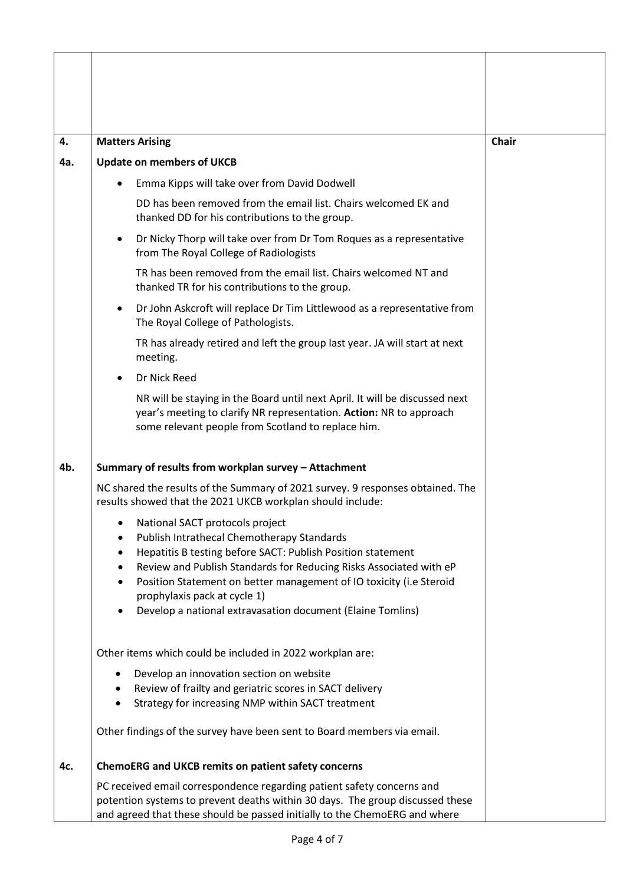| 4.  | <b>Matters Arising</b>                                                                                                                                                                                                                | <b>Chair</b> |
|-----|---------------------------------------------------------------------------------------------------------------------------------------------------------------------------------------------------------------------------------------|--------------|
| 4a. | <b>Update on members of UKCB</b>                                                                                                                                                                                                      |              |
|     | Emma Kipps will take over from David Dodwell                                                                                                                                                                                          |              |
|     | DD has been removed from the email list. Chairs welcomed EK and<br>thanked DD for his contributions to the group.                                                                                                                     |              |
|     | Dr Nicky Thorp will take over from Dr Tom Roques as a representative<br>$\bullet$<br>from The Royal College of Radiologists                                                                                                           |              |
|     | TR has been removed from the email list. Chairs welcomed NT and<br>thanked TR for his contributions to the group.                                                                                                                     |              |
|     | Dr John Askcroft will replace Dr Tim Littlewood as a representative from<br>$\bullet$<br>The Royal College of Pathologists.                                                                                                           |              |
|     | TR has already retired and left the group last year. JA will start at next<br>meeting.                                                                                                                                                |              |
|     | Dr Nick Reed<br>$\bullet$                                                                                                                                                                                                             |              |
|     | NR will be staying in the Board until next April. It will be discussed next<br>year's meeting to clarify NR representation. Action: NR to approach<br>some relevant people from Scotland to replace him.                              |              |
| 4b. | Summary of results from workplan survey - Attachment                                                                                                                                                                                  |              |
|     | NC shared the results of the Summary of 2021 survey. 9 responses obtained. The<br>results showed that the 2021 UKCB workplan should include:                                                                                          |              |
|     | National SACT protocols project<br>Publish Intrathecal Chemotherapy Standards                                                                                                                                                         |              |
|     | Hepatitis B testing before SACT: Publish Position statement                                                                                                                                                                           |              |
|     | Review and Publish Standards for Reducing Risks Associated with eP                                                                                                                                                                    |              |
|     | Position Statement on better management of IO toxicity (i.e Steroid<br>prophylaxis pack at cycle 1)                                                                                                                                   |              |
|     | Develop a national extravasation document (Elaine Tomlins)                                                                                                                                                                            |              |
|     | Other items which could be included in 2022 workplan are:                                                                                                                                                                             |              |
|     | Develop an innovation section on website<br>٠                                                                                                                                                                                         |              |
|     | Review of frailty and geriatric scores in SACT delivery<br>$\bullet$<br>Strategy for increasing NMP within SACT treatment<br>$\bullet$                                                                                                |              |
|     |                                                                                                                                                                                                                                       |              |
|     | Other findings of the survey have been sent to Board members via email.                                                                                                                                                               |              |
| 4c. | ChemoERG and UKCB remits on patient safety concerns                                                                                                                                                                                   |              |
|     | PC received email correspondence regarding patient safety concerns and<br>potention systems to prevent deaths within 30 days. The group discussed these<br>and agreed that these should be passed initially to the ChemoERG and where |              |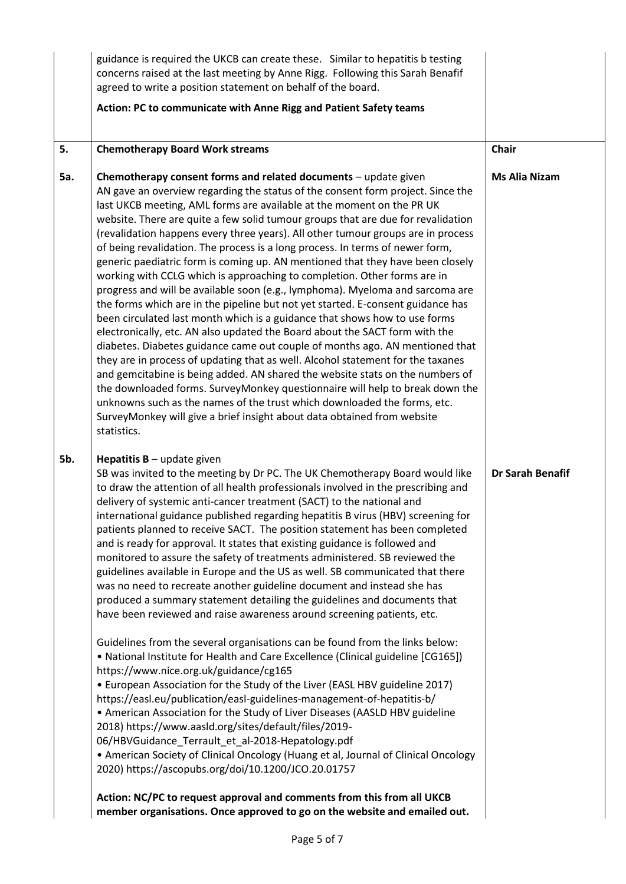|            | guidance is required the UKCB can create these. Similar to hepatitis b testing<br>concerns raised at the last meeting by Anne Rigg. Following this Sarah Benafif<br>agreed to write a position statement on behalf of the board.                                                                                                                                                                                                                                                                                                                                                                                                                                                                                                                                                                                                                                                                                                                                                                                                                                                                                                                                                                                                                                                                                                                                                                                                                                                                                                                                                                                                                                                                                                                                                                         |                         |
|------------|----------------------------------------------------------------------------------------------------------------------------------------------------------------------------------------------------------------------------------------------------------------------------------------------------------------------------------------------------------------------------------------------------------------------------------------------------------------------------------------------------------------------------------------------------------------------------------------------------------------------------------------------------------------------------------------------------------------------------------------------------------------------------------------------------------------------------------------------------------------------------------------------------------------------------------------------------------------------------------------------------------------------------------------------------------------------------------------------------------------------------------------------------------------------------------------------------------------------------------------------------------------------------------------------------------------------------------------------------------------------------------------------------------------------------------------------------------------------------------------------------------------------------------------------------------------------------------------------------------------------------------------------------------------------------------------------------------------------------------------------------------------------------------------------------------|-------------------------|
|            | Action: PC to communicate with Anne Rigg and Patient Safety teams                                                                                                                                                                                                                                                                                                                                                                                                                                                                                                                                                                                                                                                                                                                                                                                                                                                                                                                                                                                                                                                                                                                                                                                                                                                                                                                                                                                                                                                                                                                                                                                                                                                                                                                                        |                         |
| 5.         | <b>Chemotherapy Board Work streams</b>                                                                                                                                                                                                                                                                                                                                                                                                                                                                                                                                                                                                                                                                                                                                                                                                                                                                                                                                                                                                                                                                                                                                                                                                                                                                                                                                                                                                                                                                                                                                                                                                                                                                                                                                                                   | <b>Chair</b>            |
| <b>5a.</b> | Chemotherapy consent forms and related documents - update given<br>AN gave an overview regarding the status of the consent form project. Since the<br>last UKCB meeting, AML forms are available at the moment on the PR UK<br>website. There are quite a few solid tumour groups that are due for revalidation<br>(revalidation happens every three years). All other tumour groups are in process<br>of being revalidation. The process is a long process. In terms of newer form,<br>generic paediatric form is coming up. AN mentioned that they have been closely<br>working with CCLG which is approaching to completion. Other forms are in<br>progress and will be available soon (e.g., lymphoma). Myeloma and sarcoma are<br>the forms which are in the pipeline but not yet started. E-consent guidance has<br>been circulated last month which is a guidance that shows how to use forms<br>electronically, etc. AN also updated the Board about the SACT form with the<br>diabetes. Diabetes guidance came out couple of months ago. AN mentioned that<br>they are in process of updating that as well. Alcohol statement for the taxanes<br>and gemcitabine is being added. AN shared the website stats on the numbers of<br>the downloaded forms. SurveyMonkey questionnaire will help to break down the<br>unknowns such as the names of the trust which downloaded the forms, etc.<br>SurveyMonkey will give a brief insight about data obtained from website<br>statistics.                                                                                                                                                                                                                                                                                                            | <b>Ms Alia Nizam</b>    |
| 5b.        | <b>Hepatitis B</b> – update given<br>SB was invited to the meeting by Dr PC. The UK Chemotherapy Board would like<br>to draw the attention of all health professionals involved in the prescribing and<br>delivery of systemic anti-cancer treatment (SACT) to the national and<br>international guidance published regarding hepatitis B virus (HBV) screening for<br>patients planned to receive SACT. The position statement has been completed<br>and is ready for approval. It states that existing guidance is followed and<br>monitored to assure the safety of treatments administered. SB reviewed the<br>guidelines available in Europe and the US as well. SB communicated that there<br>was no need to recreate another guideline document and instead she has<br>produced a summary statement detailing the guidelines and documents that<br>have been reviewed and raise awareness around screening patients, etc.<br>Guidelines from the several organisations can be found from the links below:<br>• National Institute for Health and Care Excellence (Clinical guideline [CG165])<br>https://www.nice.org.uk/guidance/cg165<br>• European Association for the Study of the Liver (EASL HBV guideline 2017)<br>https://easl.eu/publication/easl-guidelines-management-of-hepatitis-b/<br>• American Association for the Study of Liver Diseases (AASLD HBV guideline<br>2018) https://www.aasld.org/sites/default/files/2019-<br>06/HBVGuidance_Terrault_et_al-2018-Hepatology.pdf<br>• American Society of Clinical Oncology (Huang et al, Journal of Clinical Oncology<br>2020) https://ascopubs.org/doi/10.1200/JCO.20.01757<br>Action: NC/PC to request approval and comments from this from all UKCB<br>member organisations. Once approved to go on the website and emailed out. | <b>Dr Sarah Benafif</b> |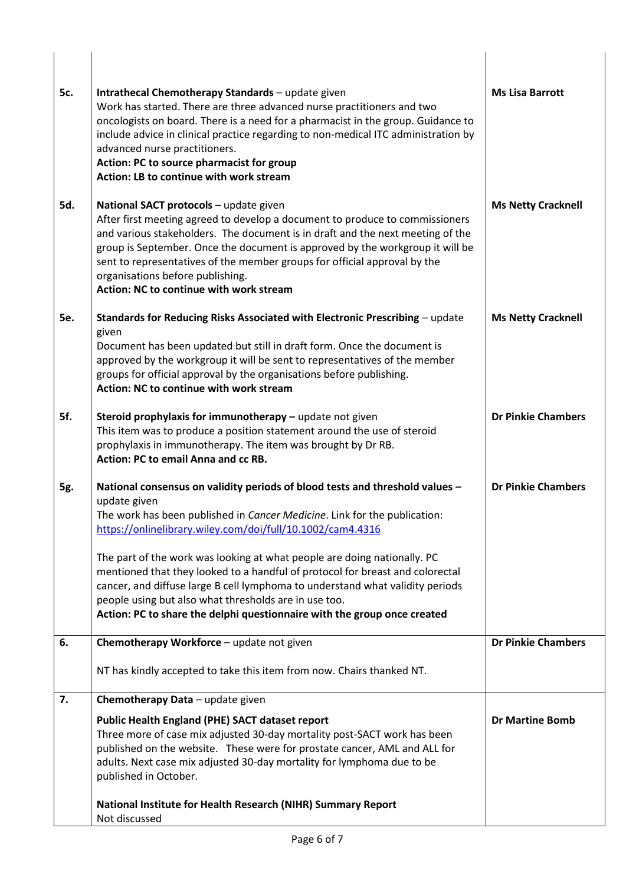| 5c.        | Intrathecal Chemotherapy Standards - update given<br>Work has started. There are three advanced nurse practitioners and two<br>oncologists on board. There is a need for a pharmacist in the group. Guidance to<br>include advice in clinical practice regarding to non-medical ITC administration by<br>advanced nurse practitioners.<br>Action: PC to source pharmacist for group<br>Action: LB to continue with work stream                                                                                                                                                                                                     | <b>Ms Lisa Barrott</b>    |
|------------|------------------------------------------------------------------------------------------------------------------------------------------------------------------------------------------------------------------------------------------------------------------------------------------------------------------------------------------------------------------------------------------------------------------------------------------------------------------------------------------------------------------------------------------------------------------------------------------------------------------------------------|---------------------------|
| 5d.        | National SACT protocols - update given<br>After first meeting agreed to develop a document to produce to commissioners<br>and various stakeholders. The document is in draft and the next meeting of the<br>group is September. Once the document is approved by the workgroup it will be<br>sent to representatives of the member groups for official approval by the<br>organisations before publishing.<br>Action: NC to continue with work stream                                                                                                                                                                              | <b>Ms Netty Cracknell</b> |
| <b>5e.</b> | Standards for Reducing Risks Associated with Electronic Prescribing - update<br>given<br>Document has been updated but still in draft form. Once the document is<br>approved by the workgroup it will be sent to representatives of the member<br>groups for official approval by the organisations before publishing.<br>Action: NC to continue with work stream                                                                                                                                                                                                                                                                  | <b>Ms Netty Cracknell</b> |
| 5f.        | Steroid prophylaxis for immunotherapy - update not given<br>This item was to produce a position statement around the use of steroid<br>prophylaxis in immunotherapy. The item was brought by Dr RB.<br>Action: PC to email Anna and cc RB.                                                                                                                                                                                                                                                                                                                                                                                         | <b>Dr Pinkie Chambers</b> |
| 5g.        | National consensus on validity periods of blood tests and threshold values -<br>update given<br>The work has been published in <i>Cancer Medicine</i> . Link for the publication:<br>https://onlinelibrary.wiley.com/doi/full/10.1002/cam4.4316<br>The part of the work was looking at what people are doing nationally. PC<br>mentioned that they looked to a handful of protocol for breast and colorectal<br>cancer, and diffuse large B cell lymphoma to understand what validity periods<br>people using but also what thresholds are in use too.<br>Action: PC to share the delphi questionnaire with the group once created | <b>Dr Pinkie Chambers</b> |
| 6.         | Chemotherapy Workforce - update not given                                                                                                                                                                                                                                                                                                                                                                                                                                                                                                                                                                                          | <b>Dr Pinkie Chambers</b> |
|            | NT has kindly accepted to take this item from now. Chairs thanked NT.                                                                                                                                                                                                                                                                                                                                                                                                                                                                                                                                                              |                           |
| 7.         | Chemotherapy Data - update given                                                                                                                                                                                                                                                                                                                                                                                                                                                                                                                                                                                                   |                           |
|            | <b>Public Health England (PHE) SACT dataset report</b><br>Three more of case mix adjusted 30-day mortality post-SACT work has been<br>published on the website. These were for prostate cancer, AML and ALL for<br>adults. Next case mix adjusted 30-day mortality for lymphoma due to be<br>published in October.                                                                                                                                                                                                                                                                                                                 | <b>Dr Martine Bomb</b>    |
|            | National Institute for Health Research (NIHR) Summary Report<br>Not discussed                                                                                                                                                                                                                                                                                                                                                                                                                                                                                                                                                      |                           |